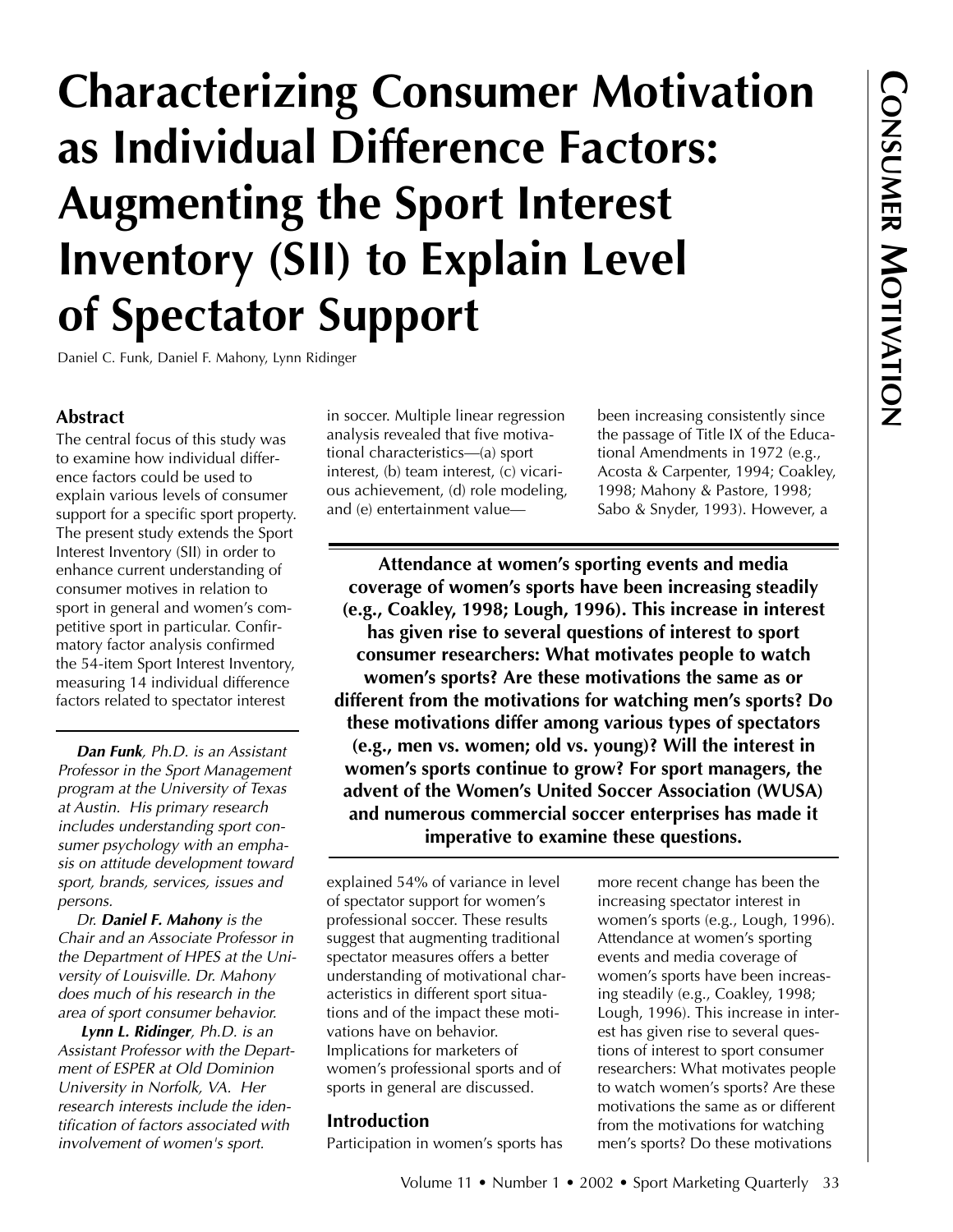# **Characterizing Consumer Motivation as Individual Difference Factors: Augmenting the Sport Interest Inventory (SII) to Explain Level of Spectator Support**

Daniel C. Funk, Daniel F. Mahony, Lynn Ridinger

## **Abstract**

The central focus of this study was to examine how individual difference factors could be used to explain various levels of consumer support for a specific sport property. The present study extends the Sport Interest Inventory (SII) in order to enhance current understanding of consumer motives in relation to sport in general and women's competitive sport in particular. Confirmatory factor analysis confirmed the 54-item Sport Interest Inventory, measuring 14 individual difference factors related to spectator interest

*Dan Funk, Ph.D. is an Assistant Professor in the Sport Management program at the University of Texas at Austin. His primary research includes understanding sport consumer psychology with an emphasis on attitude development toward sport, brands, services, issues and persons.*

*Dr. Daniel F. Mahony is the Chair and an Associate Professor in the Department of HPES at the University of Louisville. Dr. Mahony does much of his research in the area of sport consumer behavior.*

*Lynn L. Ridinger, Ph.D. is an Assistant Professor with the Department of ESPER at Old Dominion University in Norfolk, VA. Her research interests include the identification of factors associated with involvement of women's sport.*

in soccer. Multiple linear regression analysis revealed that five motivational characteristics—(a) sport interest, (b) team interest, (c) vicarious achievement, (d) role modeling, and (e) entertainment value—

been increasing consistently since the passage of Title IX of the Educational Amendments in 1972 (e.g., Acosta & Carpenter, 1994; Coakley, 1998; Mahony & Pastore, 1998; Sabo & Snyder, 1993). However, a

**Attendance at women's sporting events and media coverage of women's sports have been increasing steadily (e.g., Coakley, 1998; Lough, 1996). This increase in interest has given rise to several questions of interest to sport consumer researchers: What motivates people to watch women's sports? Are these motivations the same as or different from the motivations for watching men's sports? Do these motivations differ among various types of spectators (e.g., men vs. women; old vs. young)? Will the interest in women's sports continue to grow? For sport managers, the advent of the Women's United Soccer Association (WUSA) and numerous commercial soccer enterprises has made it imperative to examine these questions.**

explained 54% of variance in level of spectator support for women's professional soccer. These results suggest that augmenting traditional spectator measures offers a better understanding of motivational characteristics in different sport situations and of the impact these motivations have on behavior. Implications for marketers of women's professional sports and of sports in general are discussed.

#### **Introduction**

Participation in women's sports has

more recent change has been the increasing spectator interest in women's sports (e.g., Lough, 1996). Attendance at women's sporting events and media coverage of women's sports have been increasing steadily (e.g., Coakley, 1998; Lough, 1996). This increase in interest has given rise to several questions of interest to sport consumer researchers: What motivates people to watch women's sports? Are these motivations the same as or different from the motivations for watching men's sports? Do these motivations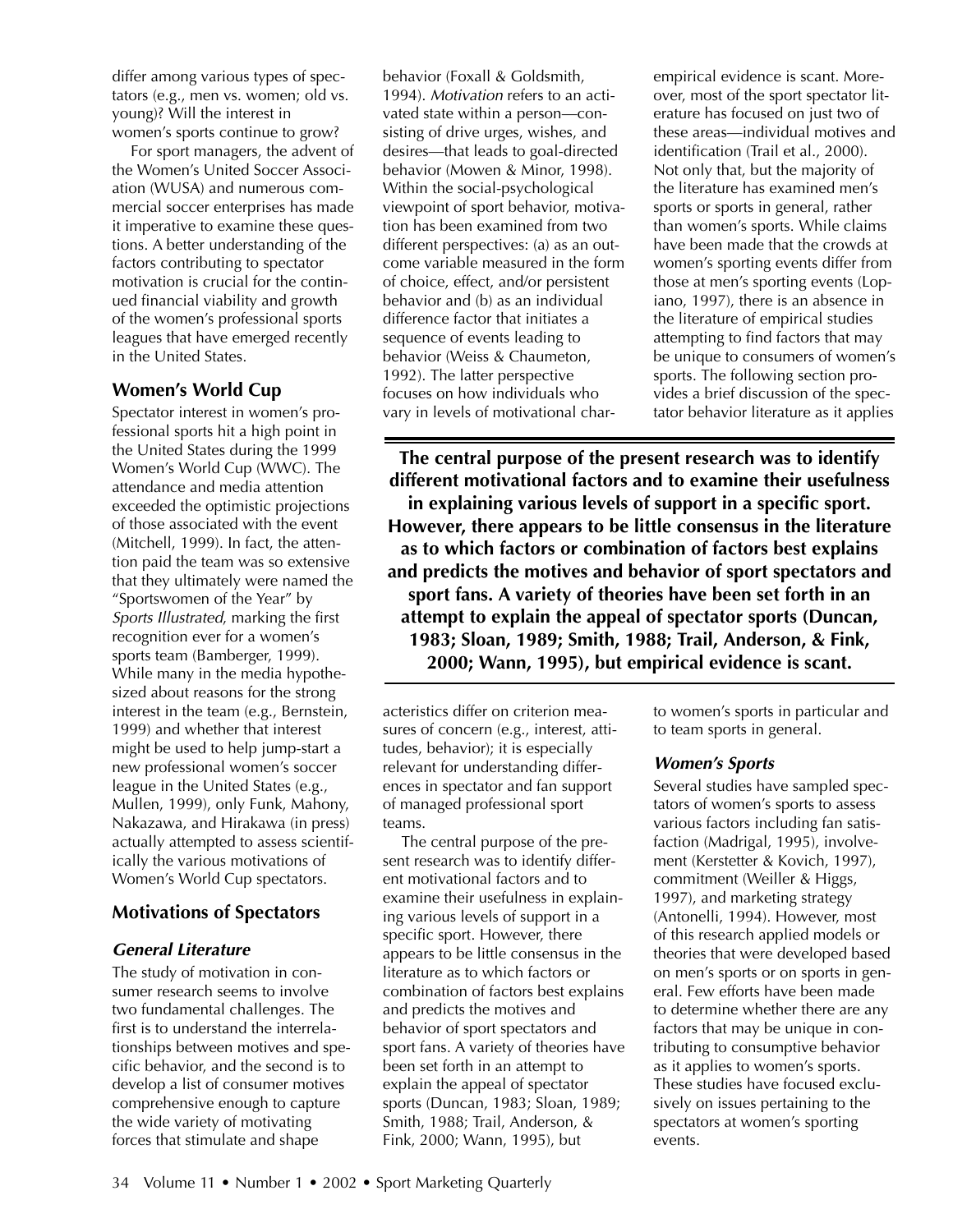differ among various types of spectators (e.g., men vs. women; old vs. young)? Will the interest in women's sports continue to grow?

For sport managers, the advent of the Women's United Soccer Association (WUSA) and numerous commercial soccer enterprises has made it imperative to examine these questions. A better understanding of the factors contributing to spectator motivation is crucial for the continued financial viability and growth of the women's professional sports leagues that have emerged recently in the United States.

#### **Women's World Cup**

Spectator interest in women's professional sports hit a high point in the United States during the 1999 Women's World Cup (WWC). The attendance and media attention exceeded the optimistic projections of those associated with the event (Mitchell, 1999). In fact, the attention paid the team was so extensive that they ultimately were named the "Sportswomen of the Year" by *Sports Illustrated*, marking the first recognition ever for a women's sports team (Bamberger, 1999). While many in the media hypothesized about reasons for the strong interest in the team (e.g., Bernstein, 1999) and whether that interest might be used to help jump-start a new professional women's soccer league in the United States (e.g., Mullen, 1999), only Funk, Mahony, Nakazawa, and Hirakawa (in press) actually attempted to assess scientifically the various motivations of Women's World Cup spectators.

#### **Motivations of Spectators**

#### *General Literature*

The study of motivation in consumer research seems to involve two fundamental challenges. The first is to understand the interrelationships between motives and specific behavior, and the second is to develop a list of consumer motives comprehensive enough to capture the wide variety of motivating forces that stimulate and shape

behavior (Foxall & Goldsmith, 1994). *Motivation* refers to an activated state within a person—consisting of drive urges, wishes, and desires—that leads to goal-directed behavior (Mowen & Minor, 1998). Within the social-psychological viewpoint of sport behavior, motivation has been examined from two different perspectives: (a) as an outcome variable measured in the form of choice, effect, and/or persistent behavior and (b) as an individual difference factor that initiates a sequence of events leading to behavior (Weiss & Chaumeton, 1992). The latter perspective focuses on how individuals who vary in levels of motivational char-

empirical evidence is scant. Moreover, most of the sport spectator literature has focused on just two of these areas—individual motives and identification (Trail et al., 2000). Not only that, but the majority of the literature has examined men's sports or sports in general, rather than women's sports. While claims have been made that the crowds at women's sporting events differ from those at men's sporting events (Lopiano, 1997), there is an absence in the literature of empirical studies attempting to find factors that may be unique to consumers of women's sports. The following section provides a brief discussion of the spectator behavior literature as it applies

**The central purpose of the present research was to identify different motivational factors and to examine their usefulness in explaining various levels of support in a specific sport. However, there appears to be little consensus in the literature as to which factors or combination of factors best explains and predicts the motives and behavior of sport spectators and sport fans. A variety of theories have been set forth in an attempt to explain the appeal of spectator sports (Duncan, 1983; Sloan, 1989; Smith, 1988; Trail, Anderson, & Fink, 2000; Wann, 1995), but empirical evidence is scant.**

acteristics differ on criterion measures of concern (e.g., interest, attitudes, behavior); it is especially relevant for understanding differences in spectator and fan support of managed professional sport teams.

The central purpose of the present research was to identify different motivational factors and to examine their usefulness in explaining various levels of support in a specific sport. However, there appears to be little consensus in the literature as to which factors or combination of factors best explains and predicts the motives and behavior of sport spectators and sport fans. A variety of theories have been set forth in an attempt to explain the appeal of spectator sports (Duncan, 1983; Sloan, 1989; Smith, 1988; Trail, Anderson, & Fink, 2000; Wann, 1995), but

to women's sports in particular and to team sports in general.

#### *Women's Sports*

Several studies have sampled spectators of women's sports to assess various factors including fan satisfaction (Madrigal, 1995), involvement (Kerstetter & Kovich, 1997), commitment (Weiller & Higgs, 1997), and marketing strategy (Antonelli, 1994). However, most of this research applied models or theories that were developed based on men's sports or on sports in general. Few efforts have been made to determine whether there are any factors that may be unique in contributing to consumptive behavior as it applies to women's sports. These studies have focused exclusively on issues pertaining to the spectators at women's sporting events.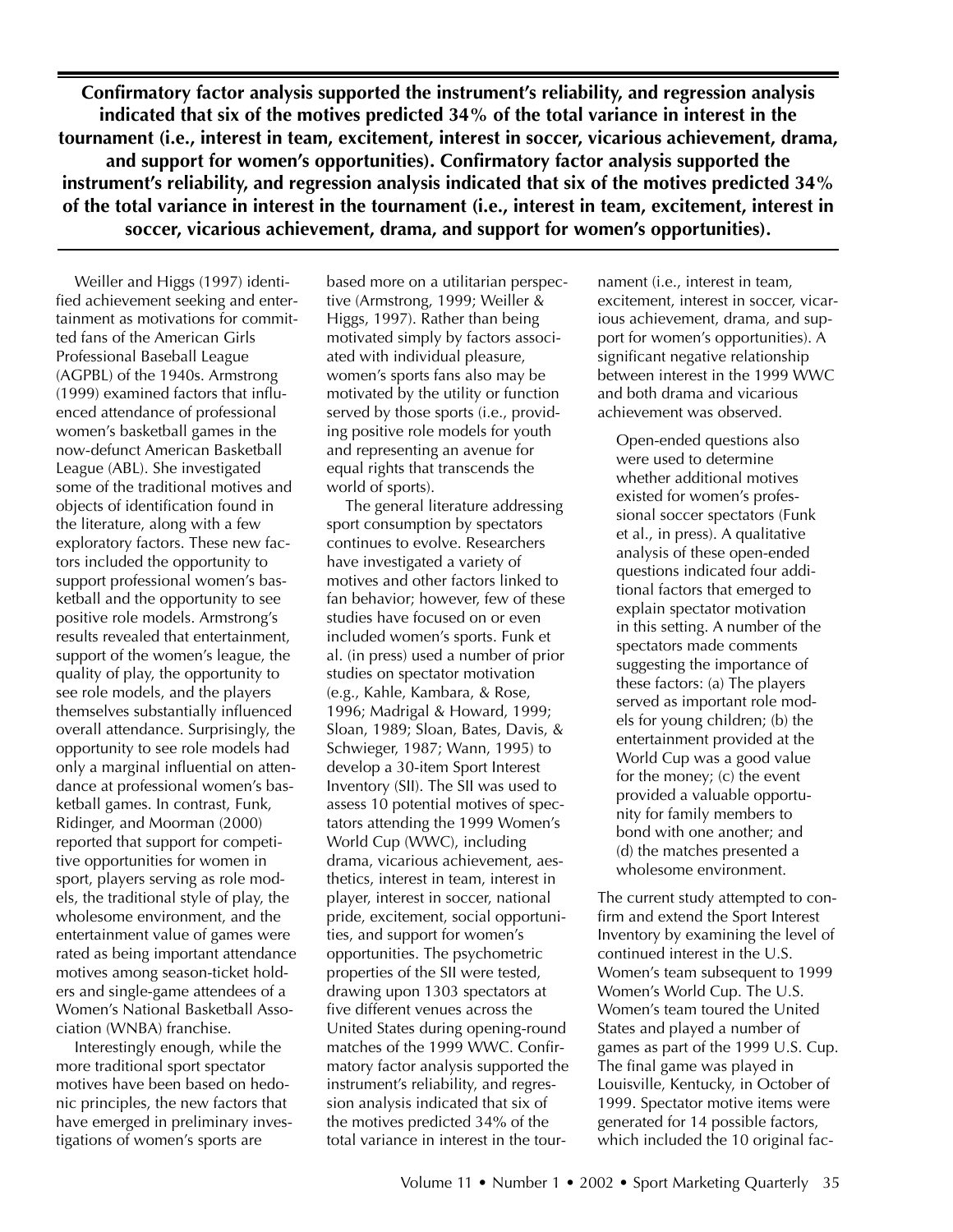**Confirmatory factor analysis supported the instrument's reliability, and regression analysis indicated that six of the motives predicted 34% of the total variance in interest in the tournament (i.e., interest in team, excitement, interest in soccer, vicarious achievement, drama, and support for women's opportunities). Confirmatory factor analysis supported the instrument's reliability, and regression analysis indicated that six of the motives predicted 34% of the total variance in interest in the tournament (i.e., interest in team, excitement, interest in soccer, vicarious achievement, drama, and support for women's opportunities).**

Weiller and Higgs (1997) identified achievement seeking and entertainment as motivations for committed fans of the American Girls Professional Baseball League (AGPBL) of the 1940s. Armstrong (1999) examined factors that influenced attendance of professional women's basketball games in the now-defunct American Basketball League (ABL). She investigated some of the traditional motives and objects of identification found in the literature, along with a few exploratory factors. These new factors included the opportunity to support professional women's basketball and the opportunity to see positive role models. Armstrong's results revealed that entertainment, support of the women's league, the quality of play, the opportunity to see role models, and the players themselves substantially influenced overall attendance. Surprisingly, the opportunity to see role models had only a marginal influential on attendance at professional women's basketball games. In contrast, Funk, Ridinger, and Moorman (2000) reported that support for competitive opportunities for women in sport, players serving as role models, the traditional style of play, the wholesome environment, and the entertainment value of games were rated as being important attendance motives among season-ticket holders and single-game attendees of a Women's National Basketball Association (WNBA) franchise.

Interestingly enough, while the more traditional sport spectator motives have been based on hedonic principles, the new factors that have emerged in preliminary investigations of women's sports are

based more on a utilitarian perspective (Armstrong, 1999; Weiller & Higgs, 1997). Rather than being motivated simply by factors associated with individual pleasure, women's sports fans also may be motivated by the utility or function served by those sports (i.e., providing positive role models for youth and representing an avenue for equal rights that transcends the world of sports).

The general literature addressing sport consumption by spectators continues to evolve. Researchers have investigated a variety of motives and other factors linked to fan behavior; however, few of these studies have focused on or even included women's sports. Funk et al. (in press) used a number of prior studies on spectator motivation (e.g., Kahle, Kambara, & Rose, 1996; Madrigal & Howard, 1999; Sloan, 1989; Sloan, Bates, Davis, & Schwieger, 1987; Wann, 1995) to develop a 30-item Sport Interest Inventory (SII). The SII was used to assess 10 potential motives of spectators attending the 1999 Women's World Cup (WWC), including drama, vicarious achievement, aesthetics, interest in team, interest in player, interest in soccer, national pride, excitement, social opportunities, and support for women's opportunities. The psychometric properties of the SII were tested, drawing upon 1303 spectators at five different venues across the United States during opening-round matches of the 1999 WWC. Confirmatory factor analysis supported the instrument's reliability, and regression analysis indicated that six of the motives predicted 34% of the total variance in interest in the tournament (i.e., interest in team, excitement, interest in soccer, vicarious achievement, drama, and support for women's opportunities). A significant negative relationship between interest in the 1999 WWC and both drama and vicarious achievement was observed.

Open-ended questions also were used to determine whether additional motives existed for women's professional soccer spectators (Funk et al., in press). A qualitative analysis of these open-ended questions indicated four additional factors that emerged to explain spectator motivation in this setting. A number of the spectators made comments suggesting the importance of these factors: (a) The players served as important role models for young children; (b) the entertainment provided at the World Cup was a good value for the money; (c) the event provided a valuable opportunity for family members to bond with one another; and (d) the matches presented a wholesome environment.

The current study attempted to confirm and extend the Sport Interest Inventory by examining the level of continued interest in the U.S. Women's team subsequent to 1999 Women's World Cup. The U.S. Women's team toured the United States and played a number of games as part of the 1999 U.S. Cup. The final game was played in Louisville, Kentucky, in October of 1999. Spectator motive items were generated for 14 possible factors, which included the 10 original fac-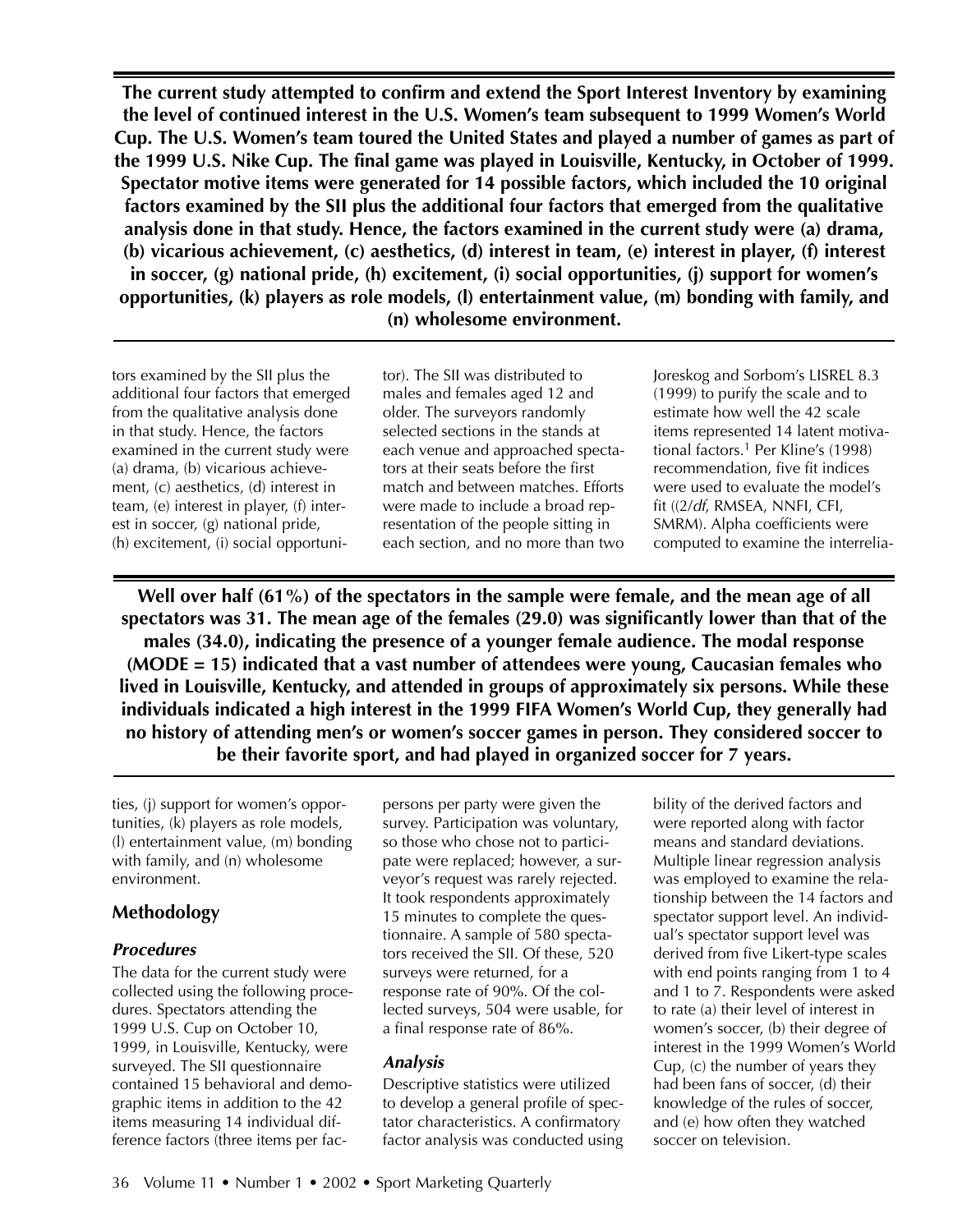**The current study attempted to confirm and extend the Sport Interest Inventory by examining the level of continued interest in the U.S. Women's team subsequent to 1999 Women's World Cup. The U.S. Women's team toured the United States and played a number of games as part of the 1999 U.S. Nike Cup. The final game was played in Louisville, Kentucky, in October of 1999. Spectator motive items were generated for 14 possible factors, which included the 10 original factors examined by the SII plus the additional four factors that emerged from the qualitative analysis done in that study. Hence, the factors examined in the current study were (a) drama, (b) vicarious achievement, (c) aesthetics, (d) interest in team, (e) interest in player, (f) interest in soccer, (g) national pride, (h) excitement, (i) social opportunities, (j) support for women's opportunities, (k) players as role models, (l) entertainment value, (m) bonding with family, and (n) wholesome environment.**

tors examined by the SII plus the additional four factors that emerged from the qualitative analysis done in that study. Hence, the factors examined in the current study were (a) drama, (b) vicarious achievement, (c) aesthetics, (d) interest in team, (e) interest in player, (f) interest in soccer, (g) national pride, (h) excitement, (i) social opportunitor). The SII was distributed to males and females aged 12 and older. The surveyors randomly selected sections in the stands at each venue and approached spectators at their seats before the first match and between matches. Efforts were made to include a broad representation of the people sitting in each section, and no more than two Joreskog and Sorbom's LISREL 8.3 (1999) to purify the scale and to estimate how well the 42 scale items represented 14 latent motivational factors.1 Per Kline's (1998) recommendation, five fit indices were used to evaluate the model's fit ((2/*df*, RMSEA, NNFI, CFI, SMRM). Alpha coefficients were computed to examine the interrelia-

**Well over half (61%) of the spectators in the sample were female, and the mean age of all spectators was 31. The mean age of the females (29.0) was significantly lower than that of the males (34.0), indicating the presence of a younger female audience. The modal response (MODE = 15) indicated that a vast number of attendees were young, Caucasian females who lived in Louisville, Kentucky, and attended in groups of approximately six persons. While these individuals indicated a high interest in the 1999 FIFA Women's World Cup, they generally had no history of attending men's or women's soccer games in person. They considered soccer to be their favorite sport, and had played in organized soccer for 7 years.**

ties, (j) support for women's opportunities, (k) players as role models, (l) entertainment value, (m) bonding with family, and (n) wholesome environment.

# **Methodology**

## *Procedures*

The data for the current study were collected using the following procedures. Spectators attending the 1999 U.S. Cup on October 10, 1999, in Louisville, Kentucky, were surveyed. The SII questionnaire contained 15 behavioral and demographic items in addition to the 42 items measuring 14 individual difference factors (three items per facpersons per party were given the survey. Participation was voluntary, so those who chose not to participate were replaced; however, a surveyor's request was rarely rejected. It took respondents approximately 15 minutes to complete the questionnaire. A sample of 580 spectators received the SII. Of these, 520 surveys were returned, for a response rate of 90%. Of the collected surveys, 504 were usable, for a final response rate of 86%.

## *Analysis*

Descriptive statistics were utilized to develop a general profile of spectator characteristics. A confirmatory factor analysis was conducted using

bility of the derived factors and were reported along with factor means and standard deviations. Multiple linear regression analysis was employed to examine the relationship between the 14 factors and spectator support level. An individual's spectator support level was derived from five Likert-type scales with end points ranging from 1 to 4 and 1 to 7. Respondents were asked to rate (a) their level of interest in women's soccer, (b) their degree of interest in the 1999 Women's World Cup, (c) the number of years they had been fans of soccer, (d) their knowledge of the rules of soccer, and (e) how often they watched soccer on television.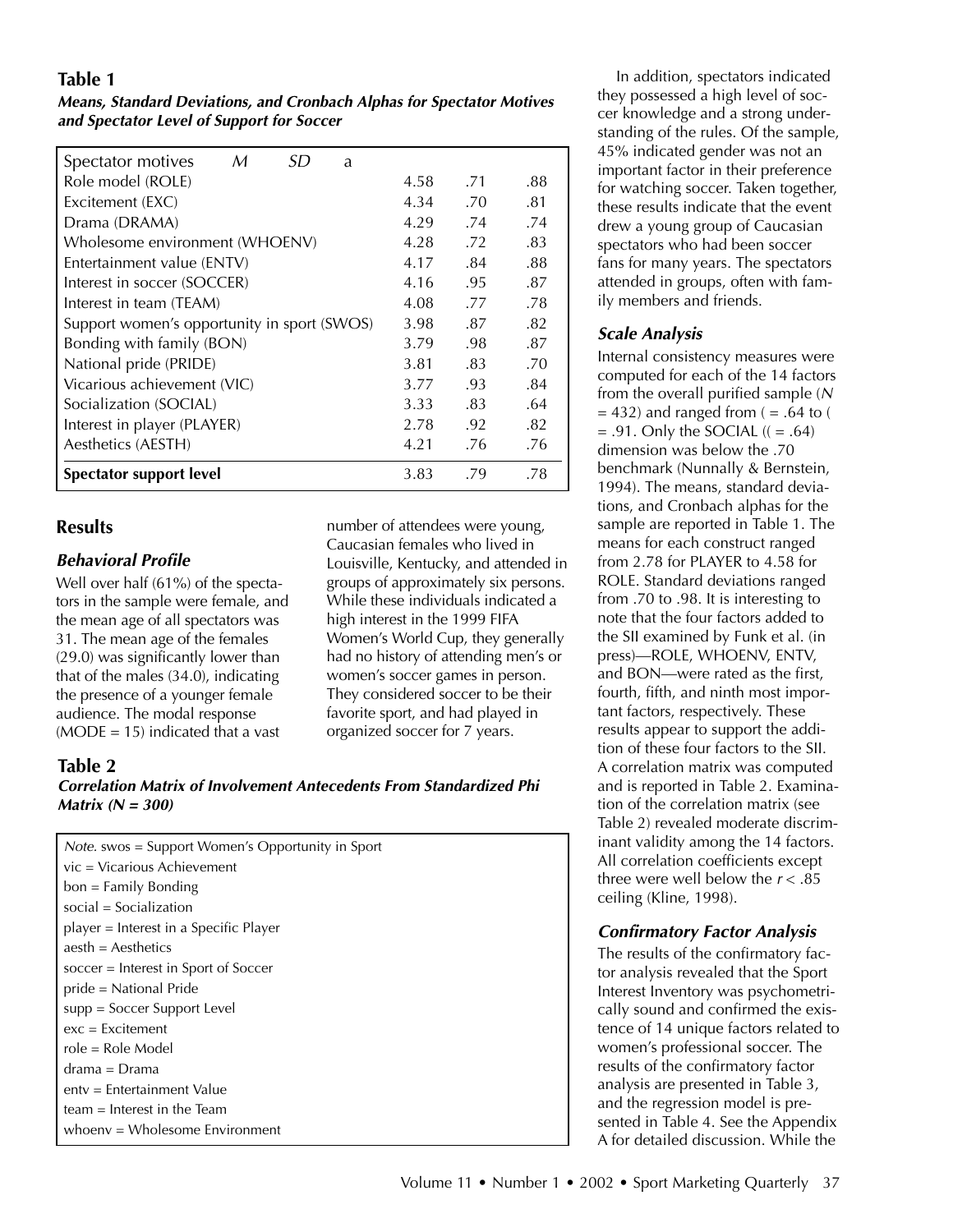# **Table 1**

*Means, Standard Deviations, and Cronbach Alphas for Spectator Motives and Spectator Level of Support for Soccer*

| M<br>Spectator motives<br>SD<br>a           |      |     |     |
|---------------------------------------------|------|-----|-----|
| Role model (ROLE)                           | 4.58 | .71 | .88 |
| Excitement (EXC)                            | 4.34 | .70 | .81 |
| Drama (DRAMA)                               | 4.29 | .74 | .74 |
| Wholesome environment (WHOENV)              | 4.28 | .72 | .83 |
| Entertainment value (ENTV)                  | 4.17 | .84 | .88 |
| Interest in soccer (SOCCER)                 | 4.16 | .95 | .87 |
| Interest in team (TEAM)                     | 4.08 | .77 | .78 |
| Support women's opportunity in sport (SWOS) | 3.98 | .87 | .82 |
| Bonding with family (BON)                   | 3.79 | .98 | .87 |
| National pride (PRIDE)                      | 3.81 | .83 | .70 |
| Vicarious achievement (VIC)                 | 3.77 | .93 | .84 |
| Socialization (SOCIAL)                      | 3.33 | .83 | .64 |
| Interest in player (PLAYER)                 | 2.78 | .92 | .82 |
| Aesthetics (AESTH)                          | 4.21 | .76 | .76 |
| Spectator support level                     | 3.83 | .79 | .78 |

number of attendees were young, Caucasian females who lived in Louisville, Kentucky, and attended in groups of approximately six persons. While these individuals indicated a high interest in the 1999 FIFA Women's World Cup, they generally had no history of attending men's or women's soccer games in person. They considered soccer to be their favorite sport, and had played in organized soccer for 7 years.

# **Results**

# *Behavioral Profile*

Well over half (61%) of the spectators in the sample were female, and the mean age of all spectators was 31. The mean age of the females (29.0) was significantly lower than that of the males (34.0), indicating the presence of a younger female audience. The modal response  $(MODE = 15)$  indicated that a vast

**Table 2**

*Correlation Matrix of Involvement Antecedents From Standardized Phi Matrix (N = 300)*

| <i>Note.</i> swos = Support Women's Opportunity in Sport |
|----------------------------------------------------------|
| vic = Vicarious Achievement                              |
| bon = Family Bonding                                     |
| social = Socialization                                   |
| player = Interest in a Specific Player                   |
| $a$ esth = Aesthetics                                    |
| $soccer = Interest$ in Sport of Soccer                   |
| pride = National Pride                                   |
| supp = Soccer Support Level                              |
| $exc = Excitement$                                       |
| role = Role Model                                        |
| drama = Drama                                            |
| enty = Entertainment Value                               |
| team = Interest in the Team                              |
| whoeny = Wholesome Environment                           |
|                                                          |

In addition, spectators indicated they possessed a high level of soccer knowledge and a strong understanding of the rules. Of the sample, 45% indicated gender was not an important factor in their preference for watching soccer. Taken together, these results indicate that the event drew a young group of Caucasian spectators who had been soccer fans for many years. The spectators attended in groups, often with family members and friends.

## *Scale Analysis*

Internal consistency measures were computed for each of the 14 factors from the overall purified sample (*N*  $= 432$ ) and ranged from ( $= .64$  to (  $= .91$ . Only the SOCIAL  $((= .64)$ dimension was below the .70 benchmark (Nunnally & Bernstein, 1994). The means, standard deviations, and Cronbach alphas for the sample are reported in Table 1. The means for each construct ranged from 2.78 for PLAYER to 4.58 for ROLE. Standard deviations ranged from .70 to .98. It is interesting to note that the four factors added to the SII examined by Funk et al. (in press)—ROLE, WHOENV, ENTV, and BON—were rated as the first, fourth, fifth, and ninth most important factors, respectively. These results appear to support the addition of these four factors to the SII. A correlation matrix was computed and is reported in Table 2. Examination of the correlation matrix (see Table 2) revealed moderate discriminant validity among the 14 factors. All correlation coefficients except three were well below the *r* < .85 ceiling (Kline, 1998).

## *Confirmatory Factor Analysis*

The results of the confirmatory factor analysis revealed that the Sport Interest Inventory was psychometrically sound and confirmed the existence of 14 unique factors related to women's professional soccer. The results of the confirmatory factor analysis are presented in Table 3, and the regression model is presented in Table 4. See the Appendix A for detailed discussion. While the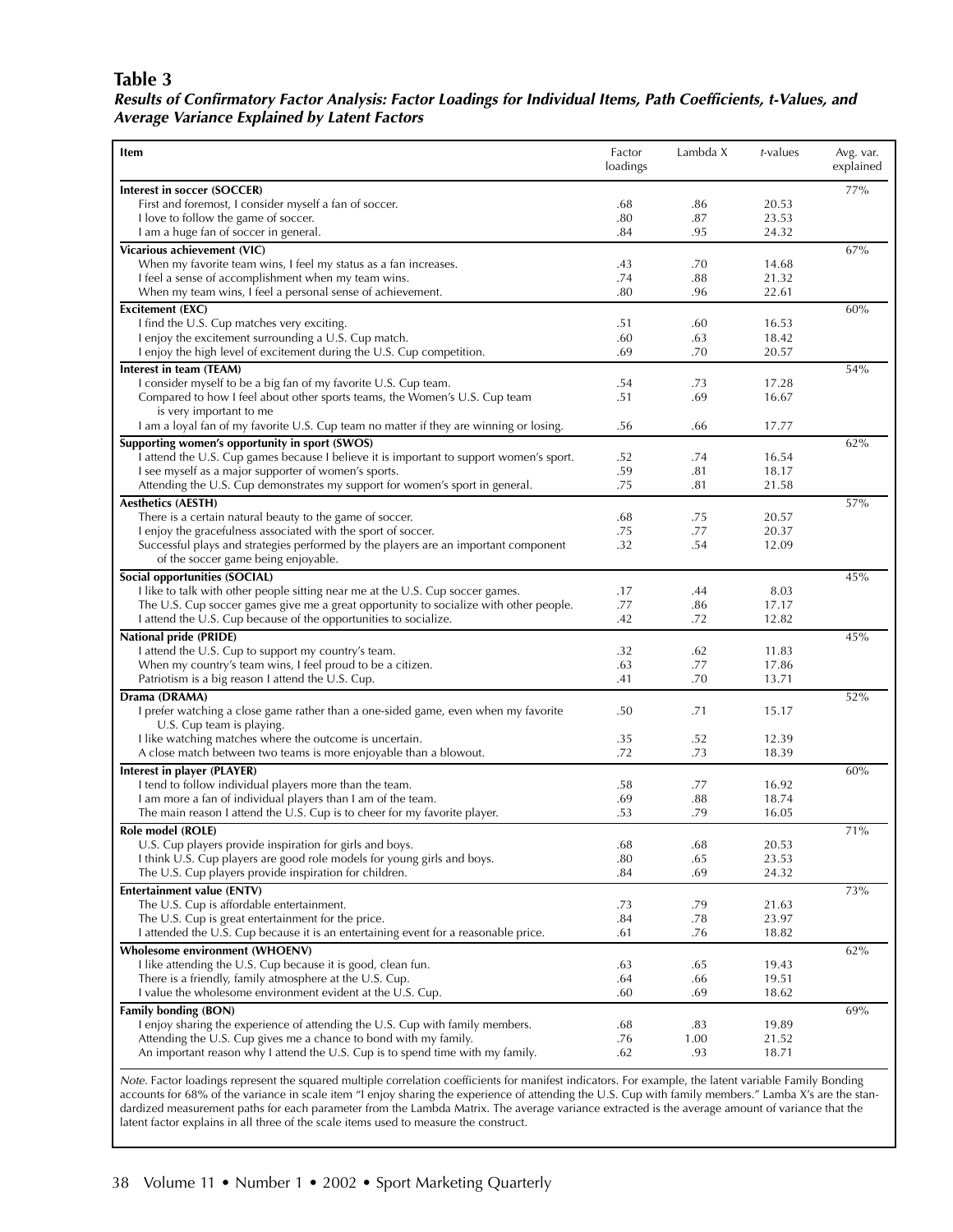#### **Table 3**

#### *Results of Confirmatory Factor Analysis: Factor Loadings for Individual Items, Path Coefficients, t-Values, and Average Variance Explained by Latent Factors*

| Item                                                                                    | Factor<br>loadings | Lambda X | t-values | Avg. var.<br>explained |
|-----------------------------------------------------------------------------------------|--------------------|----------|----------|------------------------|
| Interest in soccer (SOCCER)                                                             |                    |          |          | 77%                    |
| First and foremost, I consider myself a fan of soccer.                                  | .68                | .86      | 20.53    |                        |
| I love to follow the game of soccer.                                                    | .80                | .87      | 23.53    |                        |
| I am a huge fan of soccer in general.                                                   | .84                | .95      | 24.32    |                        |
| <b>Vicarious achievement (VIC)</b>                                                      |                    |          |          | 67%                    |
| When my favorite team wins, I feel my status as a fan increases.                        | .43                | .70      | 14.68    |                        |
| I feel a sense of accomplishment when my team wins.                                     | .74                | .88      | 21.32    |                        |
| When my team wins, I feel a personal sense of achievement.                              | .80                | .96      | 22.61    |                        |
| Excitement (EXC)                                                                        |                    |          |          | 60%                    |
| I find the U.S. Cup matches very exciting.                                              | .51                | .60      | 16.53    |                        |
| I enjoy the excitement surrounding a U.S. Cup match.                                    | .60                | .63      | 18.42    |                        |
| I enjoy the high level of excitement during the U.S. Cup competition.                   | .69                | .70      | 20.57    |                        |
| Interest in team (TEAM)                                                                 |                    |          |          | 54%                    |
| I consider myself to be a big fan of my favorite U.S. Cup team.                         | .54                | .73      | 17.28    |                        |
| Compared to how I feel about other sports teams, the Women's U.S. Cup team              | .51                | .69      | 16.67    |                        |
| is very important to me                                                                 |                    |          |          |                        |
| I am a loyal fan of my favorite U.S. Cup team no matter if they are winning or losing.  | .56                | .66      | 17.77    |                        |
| Supporting women's opportunity in sport (SWOS)                                          |                    |          |          | 62%                    |
| I attend the U.S. Cup games because I believe it is important to support women's sport. | .52                | .74      | 16.54    |                        |
| I see myself as a major supporter of women's sports.                                    | .59                | .81      | 18.17    |                        |
| Attending the U.S. Cup demonstrates my support for women's sport in general.            | .75                | .81      | 21.58    |                        |
| <b>Aesthetics (AESTH)</b>                                                               |                    |          |          | 57%                    |
| There is a certain natural beauty to the game of soccer.                                | .68                | .75      | 20.57    |                        |
| I enjoy the gracefulness associated with the sport of soccer.                           | .75                | .77      | 20.37    |                        |
| Successful plays and strategies performed by the players are an important component     | .32                | .54      | 12.09    |                        |
| of the soccer game being enjoyable.                                                     |                    |          |          |                        |
| <b>Social opportunities (SOCIAL)</b>                                                    |                    |          |          | 45%                    |
| I like to talk with other people sitting near me at the U.S. Cup soccer games.          | .17                | .44      | 8.03     |                        |
| The U.S. Cup soccer games give me a great opportunity to socialize with other people.   | .77                | .86      | 17.17    |                        |
| I attend the U.S. Cup because of the opportunities to socialize.                        | .42                | .72      | 12.82    |                        |
| National pride (PRIDE)                                                                  |                    |          |          | 45%                    |
| I attend the U.S. Cup to support my country's team.                                     | .32                | .62      | 11.83    |                        |
| When my country's team wins, I feel proud to be a citizen.                              | .63                | .77      | 17.86    |                        |
| Patriotism is a big reason I attend the U.S. Cup.                                       | .41                | .70      | 13.71    |                        |
| Drama (DRAMA)                                                                           |                    |          |          | 52%                    |
| I prefer watching a close game rather than a one-sided game, even when my favorite      | .50                | .71      | 15.17    |                        |
| U.S. Cup team is playing.                                                               |                    |          |          |                        |
| I like watching matches where the outcome is uncertain.                                 | .35                | .52      | 12.39    |                        |
| A close match between two teams is more enjoyable than a blowout.                       | .72                | .73      | 18.39    |                        |
| Interest in player (PLAYER)                                                             |                    |          |          | 60%                    |
| I tend to follow individual players more than the team.                                 | .58                | .77      | 16.92    |                        |
| I am more a fan of individual players than I am of the team.                            | .69                | .88      | 18.74    |                        |
| The main reason I attend the U.S. Cup is to cheer for my favorite player.               | .53                | .79      | 16.05    |                        |
| Role model (ROLE)                                                                       |                    |          |          | 71%                    |
| U.S. Cup players provide inspiration for girls and boys.                                | .68                | .68      | 20.53    |                        |
| I think U.S. Cup players are good role models for young girls and boys.                 | .80                | .65      | 23.53    |                        |
| The U.S. Cup players provide inspiration for children.                                  | .84                | .69      | 24.32    |                        |
| Entertainment value (ENTV)                                                              |                    |          |          | 73%                    |
| The U.S. Cup is affordable entertainment.                                               | .73                | .79      | 21.63    |                        |
| The U.S. Cup is great entertainment for the price.                                      | .84                | .78      | 23.97    |                        |
| I attended the U.S. Cup because it is an entertaining event for a reasonable price.     | .61                | .76      | 18.82    |                        |
| <b>Wholesome environment (WHOENV)</b>                                                   |                    |          |          | 62%                    |
| I like attending the U.S. Cup because it is good, clean fun.                            | .63                | .65      | 19.43    |                        |
| There is a friendly, family atmosphere at the U.S. Cup.                                 | .64                | .66      | 19.51    |                        |
| I value the wholesome environment evident at the U.S. Cup.                              | .60                | .69      | 18.62    |                        |
| Family bonding (BON)                                                                    |                    |          |          | 69%                    |
| I enjoy sharing the experience of attending the U.S. Cup with family members.           | .68                | .83      | 19.89    |                        |
| Attending the U.S. Cup gives me a chance to bond with my family.                        | .76                | 1.00     | 21.52    |                        |
| An important reason why I attend the U.S. Cup is to spend time with my family.          | .62                | .93      | 18.71    |                        |
|                                                                                         |                    |          |          |                        |

*Note.* Factor loadings represent the squared multiple correlation coefficients for manifest indicators. For example, the latent variable Family Bonding accounts for 68% of the variance in scale item "I enjoy sharing the experience of attending the U.S. Cup with family members." Lamba X's are the standardized measurement paths for each parameter from the Lambda Matrix. The average variance extracted is the average amount of variance that the latent factor explains in all three of the scale items used to measure the construct.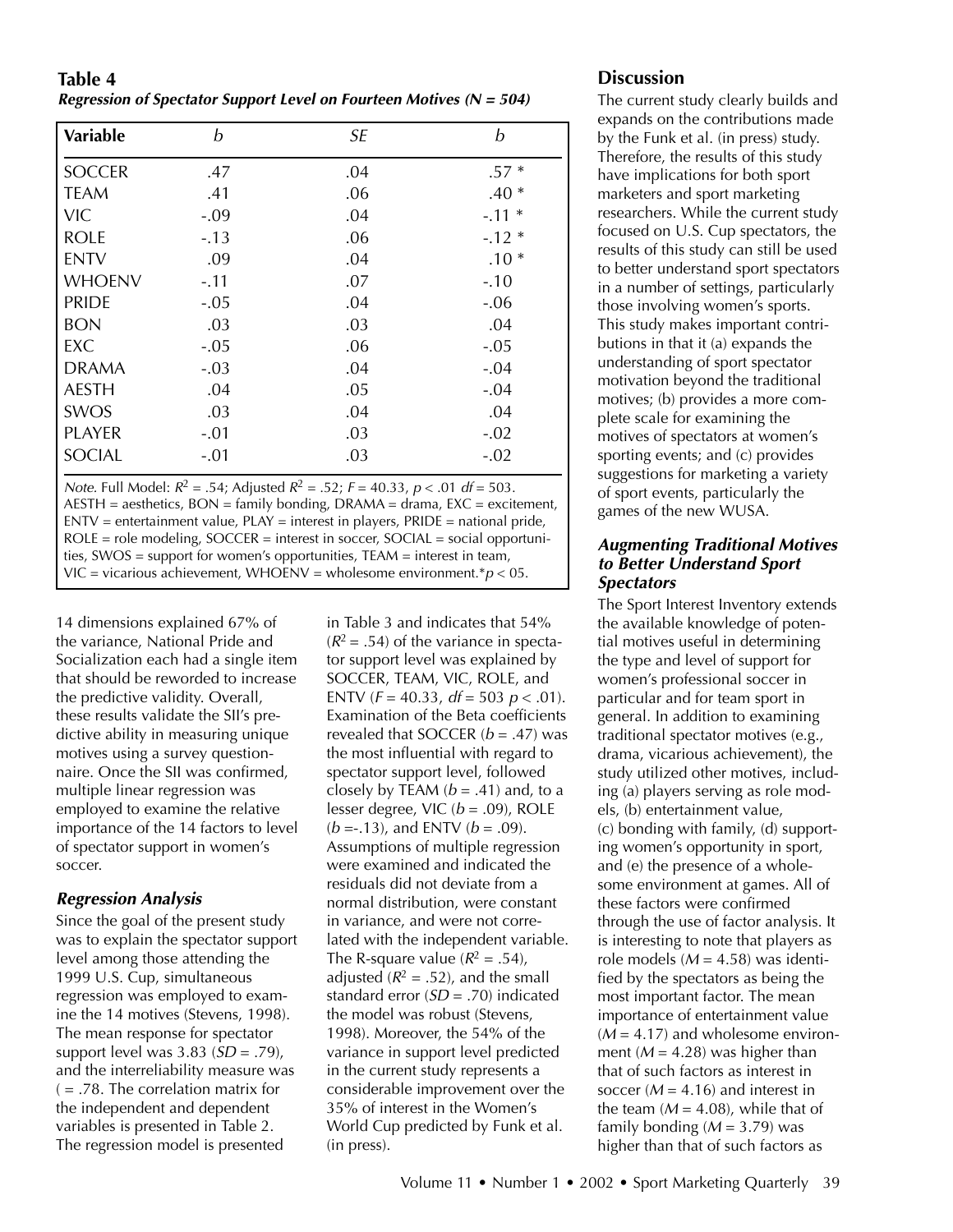| Table 4                                                                 |  |
|-------------------------------------------------------------------------|--|
| Regression of Spectator Support Level on Fourteen Motives ( $N = 504$ ) |  |

| <b>Variable</b>                                                                        | b      | <b>SE</b> | b        |  |  |
|----------------------------------------------------------------------------------------|--------|-----------|----------|--|--|
| <b>SOCCER</b>                                                                          | .47    | .04       | $.57*$   |  |  |
| <b>TEAM</b>                                                                            | .41    | .06       | $.40*$   |  |  |
| <b>VIC</b>                                                                             | $-.09$ | .04       | $-.11$ * |  |  |
| <b>ROLE</b>                                                                            | $-.13$ | .06       | $-.12*$  |  |  |
| <b>ENTV</b>                                                                            | .09    | .04       | $.10*$   |  |  |
| <b>WHOENV</b>                                                                          | $-.11$ | .07       | $-.10$   |  |  |
| <b>PRIDE</b>                                                                           | $-.05$ | .04       | $-.06$   |  |  |
| <b>BON</b>                                                                             | .03    | .03       | .04      |  |  |
| EXC                                                                                    | $-.05$ | .06       | $-.05$   |  |  |
| <b>DRAMA</b>                                                                           | $-.03$ | .04       | $-.04$   |  |  |
| <b>AESTH</b>                                                                           | .04    | .05       | $-.04$   |  |  |
| <b>SWOS</b>                                                                            | .03    | .04       | .04      |  |  |
| PLAYER                                                                                 | $-.01$ | .03       | $-.02$   |  |  |
| <b>SOCIAL</b>                                                                          | $-.01$ | .03       | $-.02$   |  |  |
| Note, Full Model: $R^2 = 54$ : Adjusted $R^2 = 52$ : $F = 40.33$ , $p < .01$ df = 503. |        |           |          |  |  |

*Note.* Full Model: *R*<sup>2</sup> = .54; Adjusted *R*<sup>2</sup> = .52; *F* = 40.33, *p* < .01 *df* = 503.  $AESTH = aesthetics, BON = family bonding, DRAMA = drama, EXC = excitement,$  $ENTV =$  entertainment value,  $PLAY =$  interest in players,  $PRIDE =$  national pride, ROLE = role modeling, SOCCER = interest in soccer, SOCIAL = social opportunities, SWOS = support for women's opportunities, TEAM = interest in team, VIC = vicarious achievement, WHOENV = wholesome environment.\**p* < 05.

14 dimensions explained 67% of the variance, National Pride and Socialization each had a single item that should be reworded to increase the predictive validity. Overall, these results validate the SII's predictive ability in measuring unique motives using a survey questionnaire. Once the SII was confirmed, multiple linear regression was employed to examine the relative importance of the 14 factors to level of spectator support in women's soccer.

# *Regression Analysis*

Since the goal of the present study was to explain the spectator support level among those attending the 1999 U.S. Cup, simultaneous regression was employed to examine the 14 motives (Stevens, 1998). The mean response for spectator support level was 3.83 (*SD* = .79), and the interreliability measure was  $( = .78.$  The correlation matrix for the independent and dependent variables is presented in Table 2. The regression model is presented

in Table 3 and indicates that 54%  $(R<sup>2</sup> = .54)$  of the variance in spectator support level was explained by SOCCER, TEAM, VIC, ROLE, and ENTV ( $F = 40.33$ ,  $df = 503$   $p < .01$ ). Examination of the Beta coefficients revealed that SOCCER  $(b = .47)$  was the most influential with regard to spectator support level, followed closely by TEAM  $(b = .41)$  and, to a lesser degree,  $VIC$  ( $b = .09$ ), ROLE (*b* =-.13), and ENTV (*b* = .09). Assumptions of multiple regression were examined and indicated the residuals did not deviate from a normal distribution, were constant in variance, and were not correlated with the independent variable. The R-square value  $(R^2 = .54)$ , adjusted  $(R^2 = .52)$ , and the small standard error (*SD* = .70) indicated the model was robust (Stevens, 1998). Moreover, the 54% of the variance in support level predicted in the current study represents a considerable improvement over the 35% of interest in the Women's World Cup predicted by Funk et al. (in press).

# **Discussion**

The current study clearly builds and expands on the contributions made by the Funk et al. (in press) study. Therefore, the results of this study have implications for both sport marketers and sport marketing researchers. While the current study focused on U.S. Cup spectators, the results of this study can still be used to better understand sport spectators in a number of settings, particularly those involving women's sports. This study makes important contributions in that it (a) expands the understanding of sport spectator motivation beyond the traditional motives; (b) provides a more complete scale for examining the motives of spectators at women's sporting events; and (c) provides suggestions for marketing a variety of sport events, particularly the games of the new WUSA.

#### *Augmenting Traditional Motives to Better Understand Sport Spectators*

The Sport Interest Inventory extends the available knowledge of potential motives useful in determining the type and level of support for women's professional soccer in particular and for team sport in general. In addition to examining traditional spectator motives (e.g., drama, vicarious achievement), the study utilized other motives, including (a) players serving as role models, (b) entertainment value, (c) bonding with family, (d) supporting women's opportunity in sport, and (e) the presence of a wholesome environment at games. All of these factors were confirmed through the use of factor analysis. It is interesting to note that players as role models  $(M = 4.58)$  was identified by the spectators as being the most important factor. The mean importance of entertainment value  $(M = 4.17)$  and wholesome environment ( $M = 4.28$ ) was higher than that of such factors as interest in soccer ( $M = 4.16$ ) and interest in the team  $(M = 4.08)$ , while that of family bonding  $(M = 3.79)$  was higher than that of such factors as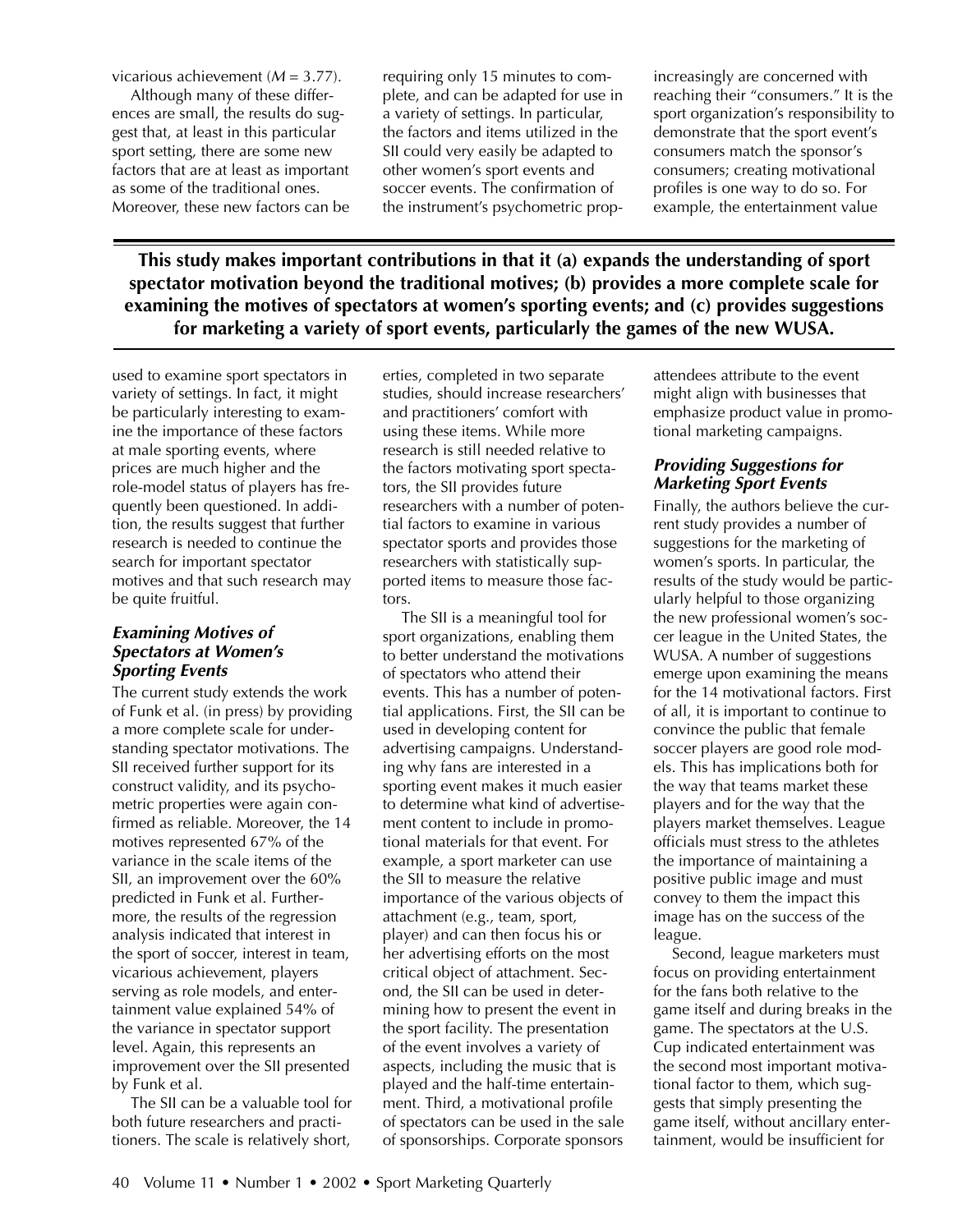vicarious achievement (*M* = 3.77).

Although many of these differences are small, the results do suggest that, at least in this particular sport setting, there are some new factors that are at least as important as some of the traditional ones. Moreover, these new factors can be

requiring only 15 minutes to complete, and can be adapted for use in a variety of settings. In particular, the factors and items utilized in the SII could very easily be adapted to other women's sport events and soccer events. The confirmation of the instrument's psychometric prop-

increasingly are concerned with reaching their "consumers." It is the sport organization's responsibility to demonstrate that the sport event's consumers match the sponsor's consumers; creating motivational profiles is one way to do so. For example, the entertainment value

**This study makes important contributions in that it (a) expands the understanding of sport spectator motivation beyond the traditional motives; (b) provides a more complete scale for examining the motives of spectators at women's sporting events; and (c) provides suggestions for marketing a variety of sport events, particularly the games of the new WUSA.**

used to examine sport spectators in variety of settings. In fact, it might be particularly interesting to examine the importance of these factors at male sporting events, where prices are much higher and the role-model status of players has frequently been questioned. In addition, the results suggest that further research is needed to continue the search for important spectator motives and that such research may be quite fruitful.

#### *Examining Motives of Spectators at Women's Sporting Events*

The current study extends the work of Funk et al. (in press) by providing a more complete scale for understanding spectator motivations. The SII received further support for its construct validity, and its psychometric properties were again confirmed as reliable. Moreover, the 14 motives represented 67% of the variance in the scale items of the SII, an improvement over the 60% predicted in Funk et al. Furthermore, the results of the regression analysis indicated that interest in the sport of soccer, interest in team, vicarious achievement, players serving as role models, and entertainment value explained 54% of the variance in spectator support level. Again, this represents an improvement over the SII presented by Funk et al.

The SII can be a valuable tool for both future researchers and practitioners. The scale is relatively short,

erties, completed in two separate studies, should increase researchers' and practitioners' comfort with using these items. While more research is still needed relative to the factors motivating sport spectators, the SII provides future researchers with a number of potential factors to examine in various spectator sports and provides those researchers with statistically supported items to measure those factors.

The SII is a meaningful tool for sport organizations, enabling them to better understand the motivations of spectators who attend their events. This has a number of potential applications. First, the SII can be used in developing content for advertising campaigns. Understanding why fans are interested in a sporting event makes it much easier to determine what kind of advertisement content to include in promotional materials for that event. For example, a sport marketer can use the SII to measure the relative importance of the various objects of attachment (e.g., team, sport, player) and can then focus his or her advertising efforts on the most critical object of attachment. Second, the SII can be used in determining how to present the event in the sport facility. The presentation of the event involves a variety of aspects, including the music that is played and the half-time entertainment. Third, a motivational profile of spectators can be used in the sale of sponsorships. Corporate sponsors

attendees attribute to the event might align with businesses that emphasize product value in promotional marketing campaigns.

# *Providing Suggestions for Marketing Sport Events*

Finally, the authors believe the current study provides a number of suggestions for the marketing of women's sports. In particular, the results of the study would be particularly helpful to those organizing the new professional women's soccer league in the United States, the WUSA. A number of suggestions emerge upon examining the means for the 14 motivational factors. First of all, it is important to continue to convince the public that female soccer players are good role models. This has implications both for the way that teams market these players and for the way that the players market themselves. League officials must stress to the athletes the importance of maintaining a positive public image and must convey to them the impact this image has on the success of the league.

Second, league marketers must focus on providing entertainment for the fans both relative to the game itself and during breaks in the game. The spectators at the U.S. Cup indicated entertainment was the second most important motivational factor to them, which suggests that simply presenting the game itself, without ancillary entertainment, would be insufficient for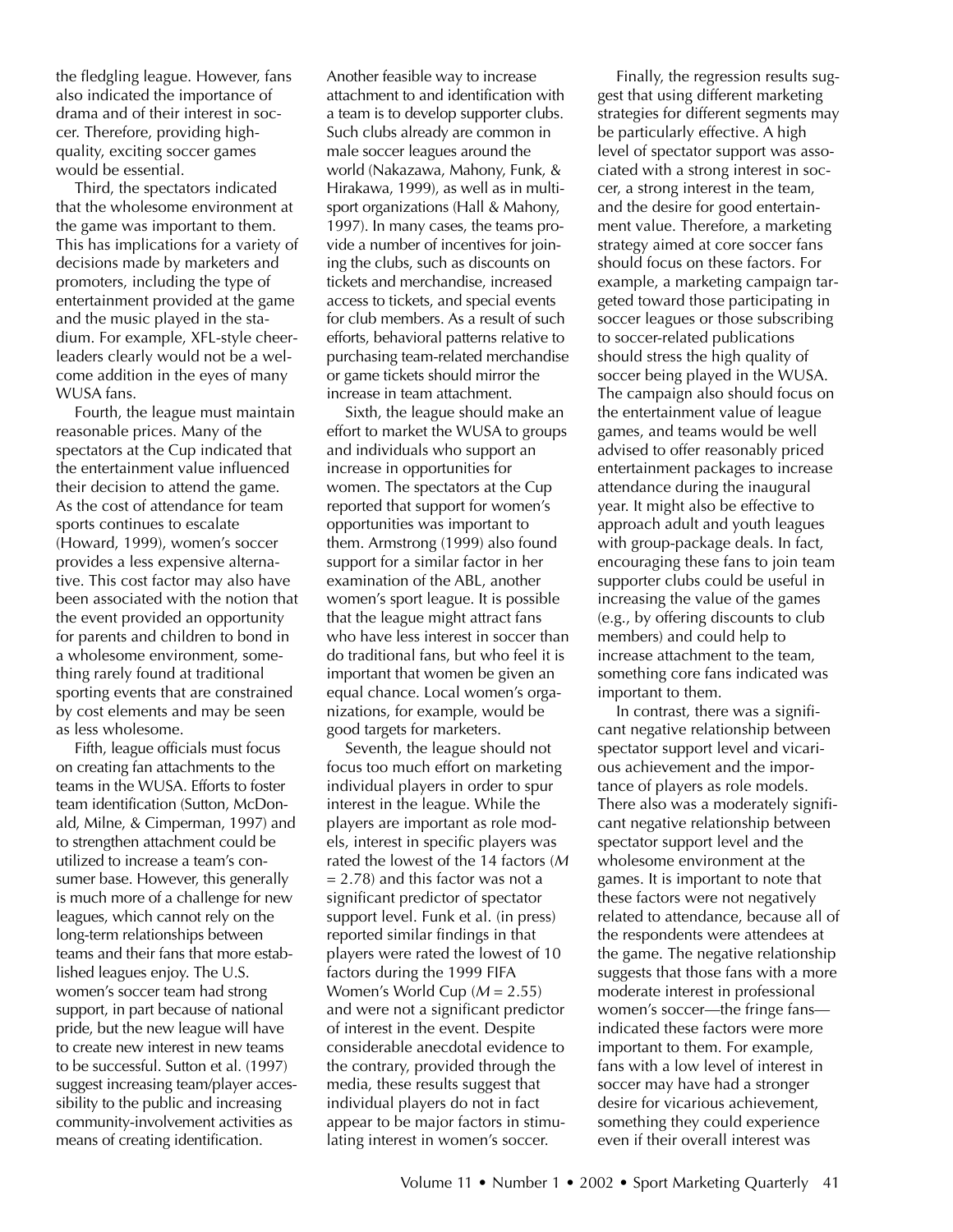the fledgling league. However, fans also indicated the importance of drama and of their interest in soccer. Therefore, providing highquality, exciting soccer games would be essential.

Third, the spectators indicated that the wholesome environment at the game was important to them. This has implications for a variety of decisions made by marketers and promoters, including the type of entertainment provided at the game and the music played in the stadium. For example, XFL-style cheerleaders clearly would not be a welcome addition in the eyes of many WUSA fans.

Fourth, the league must maintain reasonable prices. Many of the spectators at the Cup indicated that the entertainment value influenced their decision to attend the game. As the cost of attendance for team sports continues to escalate (Howard, 1999), women's soccer provides a less expensive alternative. This cost factor may also have been associated with the notion that the event provided an opportunity for parents and children to bond in a wholesome environment, something rarely found at traditional sporting events that are constrained by cost elements and may be seen as less wholesome.

Fifth, league officials must focus on creating fan attachments to the teams in the WUSA. Efforts to foster team identification (Sutton, McDonald, Milne, & Cimperman, 1997) and to strengthen attachment could be utilized to increase a team's consumer base. However, this generally is much more of a challenge for new leagues, which cannot rely on the long-term relationships between teams and their fans that more established leagues enjoy. The U.S. women's soccer team had strong support, in part because of national pride, but the new league will have to create new interest in new teams to be successful. Sutton et al. (1997) suggest increasing team/player accessibility to the public and increasing community-involvement activities as means of creating identification.

Another feasible way to increase attachment to and identification with a team is to develop supporter clubs. Such clubs already are common in male soccer leagues around the world (Nakazawa, Mahony, Funk, & Hirakawa, 1999), as well as in multisport organizations (Hall & Mahony, 1997). In many cases, the teams provide a number of incentives for joining the clubs, such as discounts on tickets and merchandise, increased access to tickets, and special events for club members. As a result of such efforts, behavioral patterns relative to purchasing team-related merchandise or game tickets should mirror the increase in team attachment.

Sixth, the league should make an effort to market the WUSA to groups and individuals who support an increase in opportunities for women. The spectators at the Cup reported that support for women's opportunities was important to them. Armstrong (1999) also found support for a similar factor in her examination of the ABL, another women's sport league. It is possible that the league might attract fans who have less interest in soccer than do traditional fans, but who feel it is important that women be given an equal chance. Local women's organizations, for example, would be good targets for marketers.

Seventh, the league should not focus too much effort on marketing individual players in order to spur interest in the league. While the players are important as role models, interest in specific players was rated the lowest of the 14 factors (*M*  $= 2.78$ ) and this factor was not a significant predictor of spectator support level. Funk et al. (in press) reported similar findings in that players were rated the lowest of 10 factors during the 1999 FIFA Women's World Cup (*M* = 2.55) and were not a significant predictor of interest in the event. Despite considerable anecdotal evidence to the contrary, provided through the media, these results suggest that individual players do not in fact appear to be major factors in stimulating interest in women's soccer.

Finally, the regression results suggest that using different marketing strategies for different segments may be particularly effective. A high level of spectator support was associated with a strong interest in soccer, a strong interest in the team, and the desire for good entertainment value. Therefore, a marketing strategy aimed at core soccer fans should focus on these factors. For example, a marketing campaign targeted toward those participating in soccer leagues or those subscribing to soccer-related publications should stress the high quality of soccer being played in the WUSA. The campaign also should focus on the entertainment value of league games, and teams would be well advised to offer reasonably priced entertainment packages to increase attendance during the inaugural year. It might also be effective to approach adult and youth leagues with group-package deals. In fact, encouraging these fans to join team supporter clubs could be useful in increasing the value of the games (e.g., by offering discounts to club members) and could help to increase attachment to the team, something core fans indicated was important to them.

In contrast, there was a significant negative relationship between spectator support level and vicarious achievement and the importance of players as role models. There also was a moderately significant negative relationship between spectator support level and the wholesome environment at the games. It is important to note that these factors were not negatively related to attendance, because all of the respondents were attendees at the game. The negative relationship suggests that those fans with a more moderate interest in professional women's soccer—the fringe fans indicated these factors were more important to them. For example, fans with a low level of interest in soccer may have had a stronger desire for vicarious achievement, something they could experience even if their overall interest was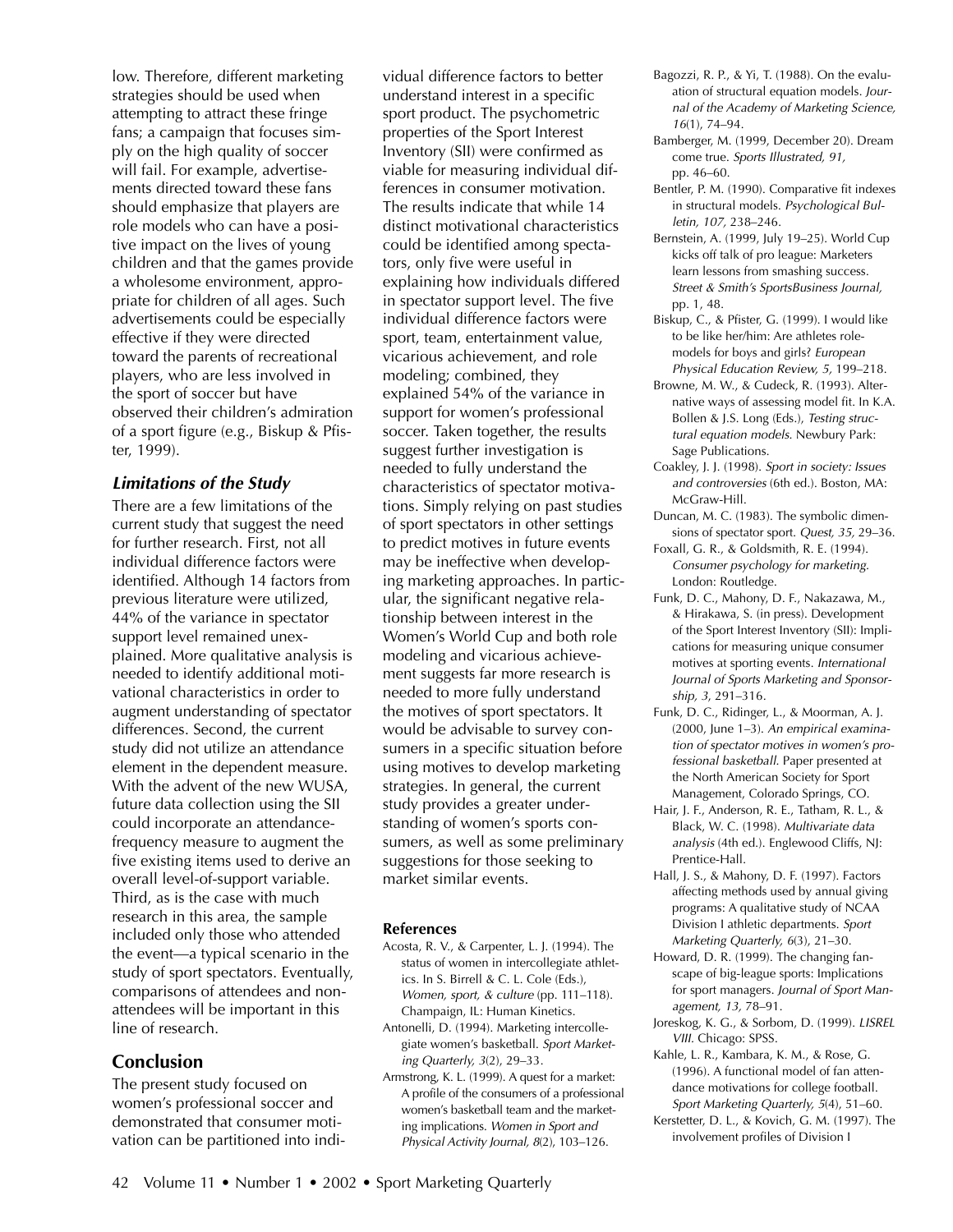low. Therefore, different marketing strategies should be used when attempting to attract these fringe fans; a campaign that focuses simply on the high quality of soccer will fail. For example, advertisements directed toward these fans should emphasize that players are role models who can have a positive impact on the lives of young children and that the games provide a wholesome environment, appropriate for children of all ages. Such advertisements could be especially effective if they were directed toward the parents of recreational players, who are less involved in the sport of soccer but have observed their children's admiration of a sport figure (e.g., Biskup & Pfister, 1999).

#### *Limitations of the Study*

There are a few limitations of the current study that suggest the need for further research. First, not all individual difference factors were identified. Although 14 factors from previous literature were utilized, 44% of the variance in spectator support level remained unexplained. More qualitative analysis is needed to identify additional motivational characteristics in order to augment understanding of spectator differences. Second, the current study did not utilize an attendance element in the dependent measure. With the advent of the new WUSA, future data collection using the SII could incorporate an attendancefrequency measure to augment the five existing items used to derive an overall level-of-support variable. Third, as is the case with much research in this area, the sample included only those who attended the event—a typical scenario in the study of sport spectators. Eventually, comparisons of attendees and nonattendees will be important in this line of research.

## **Conclusion**

The present study focused on women's professional soccer and demonstrated that consumer motivation can be partitioned into individual difference factors to better understand interest in a specific sport product. The psychometric properties of the Sport Interest Inventory (SII) were confirmed as viable for measuring individual differences in consumer motivation. The results indicate that while 14 distinct motivational characteristics could be identified among spectators, only five were useful in explaining how individuals differed in spectator support level. The five individual difference factors were sport, team, entertainment value, vicarious achievement, and role modeling; combined, they explained 54% of the variance in support for women's professional soccer. Taken together, the results suggest further investigation is needed to fully understand the characteristics of spectator motivations. Simply relying on past studies of sport spectators in other settings to predict motives in future events may be ineffective when developing marketing approaches. In particular, the significant negative relationship between interest in the Women's World Cup and both role modeling and vicarious achievement suggests far more research is needed to more fully understand the motives of sport spectators. It would be advisable to survey consumers in a specific situation before using motives to develop marketing strategies. In general, the current study provides a greater understanding of women's sports consumers, as well as some preliminary suggestions for those seeking to market similar events.

#### **References**

- Acosta, R. V., & Carpenter, L. J. (1994). The status of women in intercollegiate athletics. In S. Birrell & C. L. Cole (Eds.), *Women, sport, & culture* (pp. 111–118). Champaign, IL: Human Kinetics.
- Antonelli, D. (1994). Marketing intercollegiate women's basketball. *Sport Marketing Quarterly, 3*(2), 29–33.
- Armstrong, K. L. (1999). A quest for a market: A profile of the consumers of a professional women's basketball team and the marketing implications. *Women in Sport and Physical Activity Journal, 8*(2), 103–126.
- Bagozzi, R. P., & Yi, T. (1988). On the evaluation of structural equation models. *Journal of the Academy of Marketing Science, 16*(1), 74–94.
- Bamberger, M. (1999, December 20). Dream come true. *Sports Illustrated, 91,* pp. 46–60.
- Bentler, P. M. (1990). Comparative fit indexes in structural models. *Psychological Bulletin, 107,* 238–246.
- Bernstein, A. (1999, July 19–25). World Cup kicks off talk of pro league: Marketers learn lessons from smashing success. *Street & Smith's SportsBusiness Journal,* pp. 1, 48.
- Biskup, C., & Pfister, G. (1999). I would like to be like her/him: Are athletes rolemodels for boys and girls? *European Physical Education Review, 5,* 199–218.
- Browne, M. W., & Cudeck, R. (1993). Alternative ways of assessing model fit. In K.A. Bollen & J.S. Long (Eds.), *Testing structural equation models.* Newbury Park: Sage Publications.
- Coakley, J. J. (1998). *Sport in society: Issues and controversies* (6th ed.). Boston, MA: McGraw-Hill.
- Duncan, M. C. (1983). The symbolic dimensions of spectator sport. *Quest, 35,* 29–36.
- Foxall, G. R., & Goldsmith, R. E. (1994). *Consumer psychology for marketing.* London: Routledge.
- Funk, D. C., Mahony, D. F., Nakazawa, M., & Hirakawa, S. (in press). Development of the Sport Interest Inventory (SII): Implications for measuring unique consumer motives at sporting events. *International Journal of Sports Marketing and Sponsorship, 3*, 291–316*.*
- Funk, D. C., Ridinger, L., & Moorman, A. J. (2000, June 1–3). *An empirical examination of spectator motives in women's professional basketball.* Paper presented at the North American Society for Sport Management, Colorado Springs, CO.
- Hair, J. F., Anderson, R. E., Tatham, R. L., & Black, W. C. (1998). *Multivariate data analysis* (4th ed.). Englewood Cliffs, NJ: Prentice-Hall.
- Hall, J. S., & Mahony, D. F. (1997). Factors affecting methods used by annual giving programs: A qualitative study of NCAA Division I athletic departments. *Sport Marketing Quarterly, 6*(3), 21–30.
- Howard, D. R. (1999). The changing fanscape of big-league sports: Implications for sport managers. *Journal of Sport Management, 13,* 78–91.
- Joreskog, K. G., & Sorbom, D. (1999). *LISREL VIII.* Chicago: SPSS.
- Kahle, L. R., Kambara, K. M., & Rose, G. (1996). A functional model of fan attendance motivations for college football. *Sport Marketing Quarterly, 5*(4), 51–60.
- Kerstetter, D. L., & Kovich, G. M. (1997). The involvement profiles of Division I